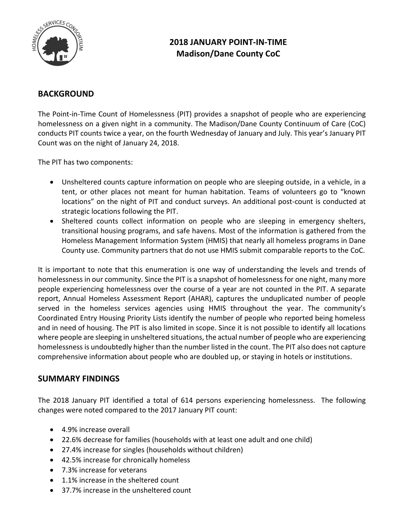

# **2018 JANUARY POINT-IN-TIME Madison/Dane County CoC**

## **BACKGROUND**

The Point-in-Time Count of Homelessness (PIT) provides a snapshot of people who are experiencing homelessness on a given night in a community. The Madison/Dane County Continuum of Care (CoC) conducts PIT counts twice a year, on the fourth Wednesday of January and July. This year's January PIT Count was on the night of January 24, 2018.

The PIT has two components:

- Unsheltered counts capture information on people who are sleeping outside, in a vehicle, in a tent, or other places not meant for human habitation. Teams of volunteers go to "known locations" on the night of PIT and conduct surveys. An additional post-count is conducted at strategic locations following the PIT.
- Sheltered counts collect information on people who are sleeping in emergency shelters, transitional housing programs, and safe havens. Most of the information is gathered from the Homeless Management Information System (HMIS) that nearly all homeless programs in Dane County use. Community partners that do not use HMIS submit comparable reports to the CoC.

It is important to note that this enumeration is one way of understanding the levels and trends of homelessness in our community. Since the PIT is a snapshot of homelessness for one night, many more people experiencing homelessness over the course of a year are not counted in the PIT. A separate report, Annual Homeless Assessment Report (AHAR), captures the unduplicated number of people served in the homeless services agencies using HMIS throughout the year. The community's Coordinated Entry Housing Priority Lists identify the number of people who reported being homeless and in need of housing. The PIT is also limited in scope. Since it is not possible to identify all locations where people are sleeping in unsheltered situations, the actual number of people who are experiencing homelessness is undoubtedly higher than the number listed in the count. The PIT also does not capture comprehensive information about people who are doubled up, or staying in hotels or institutions.

### **SUMMARY FINDINGS**

The 2018 January PIT identified a total of 614 persons experiencing homelessness. The following changes were noted compared to the 2017 January PIT count:

- 4.9% increase overall
- 22.6% decrease for families (households with at least one adult and one child)
- 27.4% increase for singles (households without children)
- 42.5% increase for chronically homeless
- 7.3% increase for veterans
- 1.1% increase in the sheltered count
- 37.7% increase in the unsheltered count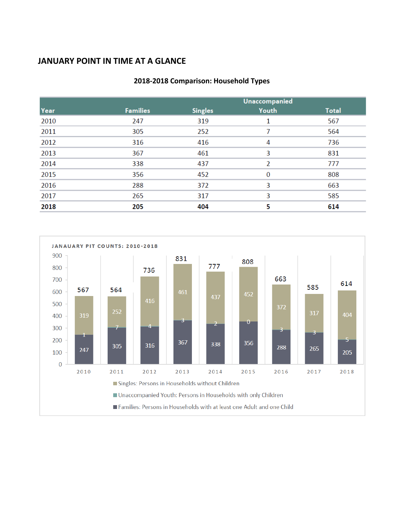## **JANUARY POINT IN TIME AT A GLANCE**

|      |                 | <b>Unaccompanied</b> |          |              |
|------|-----------------|----------------------|----------|--------------|
| Year | <b>Families</b> | <b>Singles</b>       | Youth    | <b>Total</b> |
| 2010 | 247             | 319                  |          | 567          |
| 2011 | 305             | 252                  | 7        | 564          |
| 2012 | 316             | 416                  | 4        | 736          |
| 2013 | 367             | 461                  | 3        | 831          |
| 2014 | 338             | 437                  | V        | 777          |
| 2015 | 356             | 452                  | $\Omega$ | 808          |
| 2016 | 288             | 372                  | 3        | 663          |
| 2017 | 265             | 317                  | 3        | 585          |
| 2018 | 205             | 404                  | 5        | 614          |

#### **2018-2018 Comparison: Household Types**

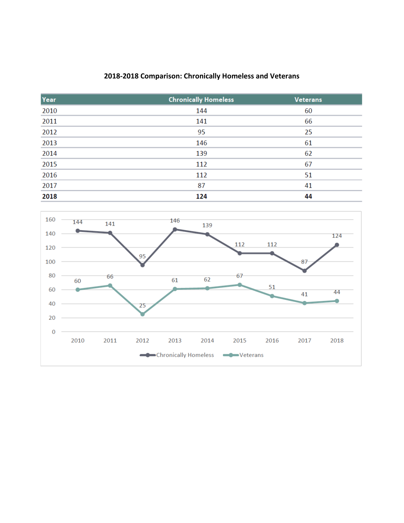### **2018-2018 Comparison: Chronically Homeless and Veterans**

| Year | <b>Chronically Homeless</b> | <b>Veterans</b> |
|------|-----------------------------|-----------------|
| 2010 | 144                         | 60              |
| 2011 | 141                         | 66              |
| 2012 | 95                          | 25              |
| 2013 | 146                         | 61              |
| 2014 | 139                         | 62              |
| 2015 | 112                         | 67              |
| 2016 | 112                         | 51              |
| 2017 | 87                          | 41              |
| 2018 | 124                         | 44              |

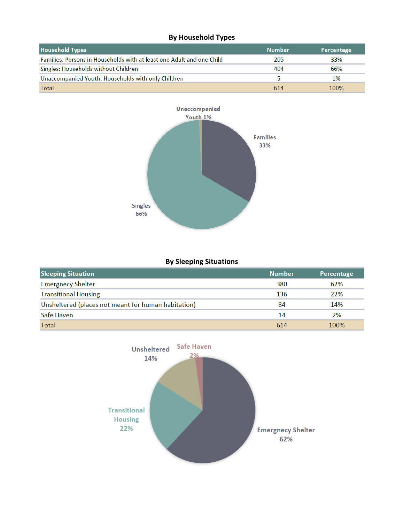### **By Household Types**

| <b>Household Types</b>                                                | Number | Percentage |
|-----------------------------------------------------------------------|--------|------------|
| Families: Persons in Households with at least one Adult and one Child | 205    | 33%        |
| Singles: Households without Children                                  | 404    | 66%        |
| Unaccompanied Youth: Households with only Children                    |        | 1%         |
| Total                                                                 | 614    | 100%       |



#### **By Sleeping Situations**

| <b>Sleeping Situation</b>                           | <b>Number</b> | Percentage |
|-----------------------------------------------------|---------------|------------|
| <b>Emergnecy Shelter</b>                            | 380           | 62%        |
| <b>Transitional Housing</b>                         | 136           | 22%        |
| Unsheltered (places not meant for human habitation) | 84            | 14%        |
| Safe Haven                                          | 14            | 2%         |
| Total                                               | 614           | 100%       |

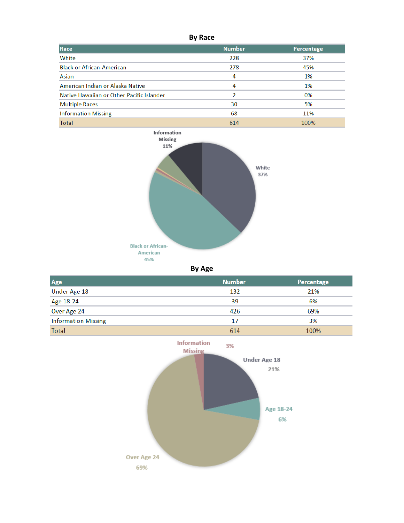**By Race**

| Race                                      | <b>Number</b> | Percentage |
|-------------------------------------------|---------------|------------|
| White                                     | 228           | 37%        |
| <b>Black or African-American</b>          | 278           | 45%        |
| Asian                                     | 4             | 1%         |
| American Indian or Alaska Native          | 4             | 1%         |
| Native Hawaiian or Other Pacific Islander | $\mathcal{D}$ | 0%         |
| <b>Multiple Races</b>                     | 30            | 5%         |
| <b>Information Missing</b>                | 68            | 11%        |
| Total                                     | 614           | 100%       |



#### **By Age**

| Age                        | <b>Number</b> | Percentage |
|----------------------------|---------------|------------|
| Under Age 18               | 132           | 21%        |
| Age 18-24                  | 39            | 6%         |
| Over Age 24                | 426           | 69%        |
| <b>Information Missing</b> | 17            | 3%         |
| Total                      | 614           | 100%       |

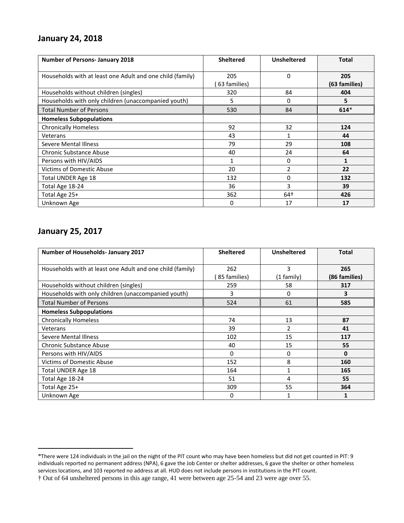### **January 24, 2018**

| <b>Number of Persons- January 2018</b>                    | <b>Sheltered</b>    | <b>Unsheltered</b> | <b>Total</b>         |
|-----------------------------------------------------------|---------------------|--------------------|----------------------|
| Households with at least one Adult and one child (family) | 205<br>63 families) | 0                  | 205<br>(63 families) |
| Households without children (singles)                     | 320                 | 84                 | 404                  |
| Households with only children (unaccompanied youth)       | 5                   | 0                  | 5                    |
| <b>Total Number of Persons</b>                            | 530                 | 84                 | $614*$               |
| <b>Homeless Subpopulations</b>                            |                     |                    |                      |
| <b>Chronically Homeless</b>                               | 92                  | 32                 | 124                  |
| Veterans                                                  | 43                  | 1                  | 44                   |
| <b>Severe Mental Illness</b>                              | 79                  | 29                 | 108                  |
| Chronic Substance Abuse                                   | 40                  | 24                 | 64                   |
| Persons with HIV/AIDS                                     | 1                   | 0                  | 1                    |
| <b>Victims of Domestic Abuse</b>                          | 20                  | 2                  | 22                   |
| Total UNDER Age 18                                        | 132                 | 0                  | 132                  |
| Total Age 18-24                                           | 36                  | 3                  | 39                   |
| Total Age 25+                                             | 362                 | 64†                | 426                  |
| Unknown Age                                               | 0                   | 17                 | 17                   |

### **January 25, 2017**

 $\overline{a}$ 

| <b>Number of Households- January 2017</b>                 | <b>Sheltered</b> | <b>Unsheltered</b> | Total         |
|-----------------------------------------------------------|------------------|--------------------|---------------|
| Households with at least one Adult and one child (family) | 262              | 3                  | 265           |
|                                                           | 85 families)     | $(1$ family)       | (86 families) |
| Households without children (singles)                     | 259              | 58                 | 317           |
| Households with only children (unaccompanied youth)       | 3                | 0                  | 3             |
| <b>Total Number of Persons</b>                            | 524              | 61                 | 585           |
| <b>Homeless Subpopulations</b>                            |                  |                    |               |
| <b>Chronically Homeless</b>                               | 74               | 13                 | 87            |
| Veterans                                                  | 39               | $\overline{2}$     | 41            |
| <b>Severe Mental Illness</b>                              | 102              | 15                 | 117           |
| <b>Chronic Substance Abuse</b>                            | 40               | 15                 | 55            |
| Persons with HIV/AIDS                                     | $\Omega$         | 0                  | 0             |
| Victims of Domestic Abuse                                 | 152              | 8                  | 160           |
| Total UNDER Age 18                                        | 164              | 1                  | 165           |
| Total Age 18-24                                           | 51               | 4                  | 55            |
| Total Age 25+                                             | 309              | 55                 | 364           |
| Unknown Age                                               | 0                | 1                  |               |

<sup>\*</sup>There were 124 individuals in the jail on the night of the PIT count who may have been homeless but did not get counted in PIT: 9 individuals reported no permanent address (NPA), 6 gave the Job Center or shelter addresses, 6 gave the shelter or other homeless services locations, and 103 reported no address at all. HUD does not include persons in institutions in the PIT count.

<sup>†</sup> Out of 64 unsheltered persons in this age range, 41 were between age 25-54 and 23 were age over 55.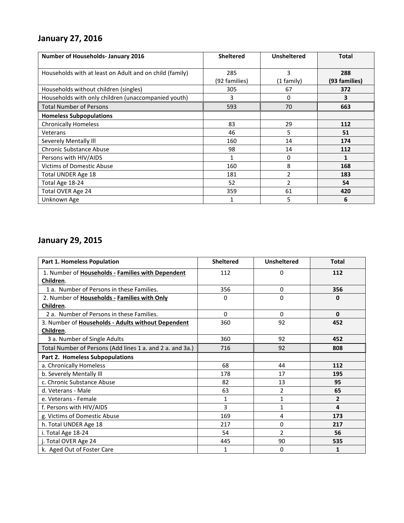# **January 27, 2016**

| <b>Number of Households- January 2016</b>               | <b>Sheltered</b> | <b>Unsheltered</b> | Total         |
|---------------------------------------------------------|------------------|--------------------|---------------|
| Households with at least on Adult and on child (family) | 285              | 3                  | 288           |
|                                                         | (92 families)    | (1 family)         | (93 families) |
| Households without children (singles)                   | 305              | 67                 | 372           |
| Households with only children (unaccompanied youth)     | 3                | 0                  | 3             |
| <b>Total Number of Persons</b>                          | 593              | 70                 | 663           |
| <b>Homeless Subpopulations</b>                          |                  |                    |               |
| <b>Chronically Homeless</b>                             | 83               | 29                 | 112           |
| Veterans                                                | 46               | 5                  | 51            |
| Severely Mentally III                                   | 160              | 14                 | 174           |
| <b>Chronic Substance Abuse</b>                          | 98               | 14                 | 112           |
| Persons with HIV/AIDS                                   |                  | 0                  | 1             |
| <b>Victims of Domestic Abuse</b>                        | 160              | 8                  | 168           |
| Total UNDER Age 18                                      | 181              | $\overline{2}$     | 183           |
| Total Age 18-24                                         | 52               | 2                  | 54            |
| Total OVER Age 24                                       | 359              | 61                 | 420           |
| Unknown Age                                             |                  | 5                  | 6             |

# **January 29, 2015**

| <b>Part 1. Homeless Population</b>                        | <b>Sheltered</b> | <b>Unsheltered</b> | <b>Total</b> |
|-----------------------------------------------------------|------------------|--------------------|--------------|
| 1. Number of Households - Families with Dependent         | 112              | 0                  | 112          |
| Children.                                                 |                  |                    |              |
| 1 a. Number of Persons in these Families.                 | 356              | 0                  | 356          |
| 2. Number of Households - Families with Only              | 0                | 0                  | 0            |
| Children.                                                 |                  |                    |              |
| 2 a. Number of Persons in these Families.                 | $\Omega$         | 0                  | $\bf{0}$     |
| 3. Number of Households - Adults without Dependent        | 360              | 92                 | 452          |
| Children.                                                 |                  |                    |              |
| 3 a. Number of Single Adults                              | 360              | 92                 | 452          |
| Total Number of Persons (Add lines 1 a. and 2 a. and 3a.) | 716              | 92                 | 808          |
| Part 2. Homeless Subpopulations                           |                  |                    |              |
| a. Chronically Homeless                                   | 68               | 44                 | 112          |
| b. Severely Mentally Ill                                  | 178              | 17                 | 195          |
| c. Chronic Substance Abuse                                | 82               | 13                 | 95           |
| d. Veterans - Male                                        | 63               | 2                  | 65           |
| e. Veterans - Female                                      | 1                | 1                  | 2            |
| f. Persons with HIV/AIDS                                  | $\overline{3}$   | 1                  | 4            |
| g. Victims of Domestic Abuse                              | 169              | 4                  | 173          |
| h. Total UNDER Age 18                                     | 217              | 0                  | 217          |
| i. Total Age 18-24                                        | 54               | $\mathfrak{p}$     | 56           |
| j. Total OVER Age 24                                      | 445              | 90                 | 535          |
| k. Aged Out of Foster Care                                | $\mathbf{1}$     | 0                  | 1            |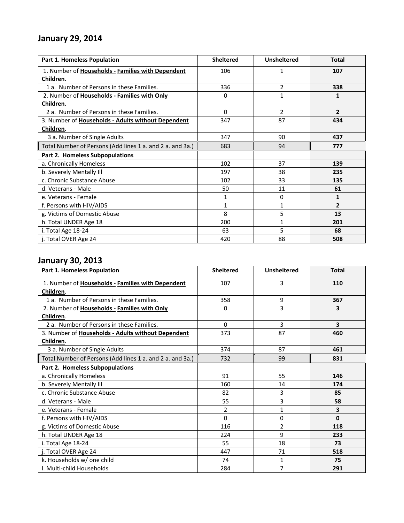# **January 29, 2014**

| <b>Part 1. Homeless Population</b>                        | <b>Sheltered</b> | <b>Unsheltered</b> | <b>Total</b>   |
|-----------------------------------------------------------|------------------|--------------------|----------------|
| 1. Number of Households - Families with Dependent         | 106              | 1                  | 107            |
| Children.                                                 |                  |                    |                |
| 1 a. Number of Persons in these Families.                 | 336              | 2                  | 338            |
| 2. Number of Households - Families with Only              | 0                | $\mathbf{1}$       | 1              |
| Children.                                                 |                  |                    |                |
| 2 a. Number of Persons in these Families.                 | 0                | $\overline{2}$     | $\overline{2}$ |
| 3. Number of Households - Adults without Dependent        | 347              | 87                 | 434            |
| Children.                                                 |                  |                    |                |
| 3 a. Number of Single Adults                              | 347              | 90                 | 437            |
| Total Number of Persons (Add lines 1 a. and 2 a. and 3a.) | 683              | 94                 | 777            |
| Part 2. Homeless Subpopulations                           |                  |                    |                |
| a. Chronically Homeless                                   | 102              | 37                 | 139            |
| b. Severely Mentally Ill                                  | 197              | 38                 | 235            |
| c. Chronic Substance Abuse                                | 102              | 33                 | 135            |
| d. Veterans - Male                                        | 50               | 11                 | 61             |
| e. Veterans - Female                                      | $\mathbf{1}$     | 0                  | $\mathbf{1}$   |
| f. Persons with HIV/AIDS                                  | 1                | 1                  | $\overline{2}$ |
| g. Victims of Domestic Abuse                              | 8                | 5                  | 13             |
| h. Total UNDER Age 18                                     | 200              | $\mathbf{1}$       | 201            |
| i. Total Age 18-24                                        | 63               | 5                  | 68             |
| j. Total OVER Age 24                                      | 420              | 88                 | 508            |

# **January 30, 2013**

| Part 1. Homeless Population                               | <b>Sheltered</b> | <b>Unsheltered</b> | <b>Total</b> |
|-----------------------------------------------------------|------------------|--------------------|--------------|
| 1. Number of Households - Families with Dependent         | 107              | 3                  | 110          |
| Children.                                                 |                  |                    |              |
| 1 a. Number of Persons in these Families.                 | 358              | 9                  | 367          |
| 2. Number of Households - Families with Only              | 0                | 3                  | 3            |
| Children.                                                 |                  |                    |              |
| 2 a. Number of Persons in these Families.                 | $\Omega$         | 3                  | 3            |
| 3. Number of Households - Adults without Dependent        | 373              | 87                 | 460          |
| Children.                                                 |                  |                    |              |
| 3 a. Number of Single Adults                              | 374              | 87                 | 461          |
| Total Number of Persons (Add lines 1 a. and 2 a. and 3a.) | 732              | 99                 | 831          |
| Part 2. Homeless Subpopulations                           |                  |                    |              |
| a. Chronically Homeless                                   | 91               | 55                 | 146          |
| b. Severely Mentally Ill                                  | 160              | 14                 | 174          |
| c. Chronic Substance Abuse                                | 82               | 3                  | 85           |
| d. Veterans - Male                                        | 55               | 3                  | 58           |
| e. Veterans - Female                                      | 2                | 1                  | 3            |
| f. Persons with HIV/AIDS                                  | $\Omega$         | 0                  | $\Omega$     |
| g. Victims of Domestic Abuse                              | 116              | $\overline{2}$     | 118          |
| h. Total UNDER Age 18                                     | 224              | 9                  | 233          |
| i. Total Age 18-24                                        | 55               | 18                 | 73           |
| j. Total OVER Age 24                                      | 447              | 71                 | 518          |
| k. Households w/ one child                                | 74               | 1                  | 75           |
| I. Multi-child Households                                 | 284              | 7                  | 291          |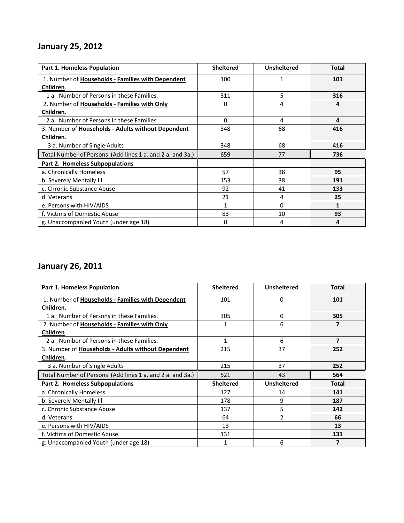# **January 25, 2012**

| Part 1. Homeless Population                               | <b>Sheltered</b> | <b>Unsheltered</b> | <b>Total</b> |
|-----------------------------------------------------------|------------------|--------------------|--------------|
| 1. Number of Households - Families with Dependent         | 100              | 1                  | 101          |
| Children.                                                 |                  |                    |              |
| 1 a. Number of Persons in these Families.                 | 311              | 5                  | 316          |
| 2. Number of Households - Families with Only              | 0                | 4                  | 4            |
| Children.                                                 |                  |                    |              |
| 2 a. Number of Persons in these Families.                 | $\Omega$         | 4                  | 4            |
| 3. Number of Households - Adults without Dependent        | 348              | 68                 | 416          |
| Children.                                                 |                  |                    |              |
| 3 a. Number of Single Adults                              | 348              | 68                 | 416          |
| Total Number of Persons (Add lines 1 a. and 2 a. and 3a.) | 659              | 77                 | 736          |
| Part 2. Homeless Subpopulations                           |                  |                    |              |
| a. Chronically Homeless                                   | 57               | 38                 | 95           |
| b. Severely Mentally Ill                                  | 153              | 38                 | 191          |
| c. Chronic Substance Abuse                                | 92               | 41                 | 133          |
| d. Veterans                                               | 21               | 4                  | 25           |
| e. Persons with HIV/AIDS                                  | $\mathbf{1}$     | 0                  | 1            |
| f. Victims of Domestic Abuse                              | 83               | 10                 | 93           |
| g. Unaccompanied Youth (under age 18)                     | 0                | 4                  | 4            |

# **January 26, 2011**

| <b>Part 1. Homeless Population</b>                        | <b>Sheltered</b> | <b>Unsheltered</b>       | <b>Total</b> |
|-----------------------------------------------------------|------------------|--------------------------|--------------|
| 1. Number of Households - Families with Dependent         | 101              | $\Omega$                 | 101          |
| Children.                                                 |                  |                          |              |
| 1 a. Number of Persons in these Families.                 | 305              | 0                        | 305          |
| 2. Number of Households - Families with Only              | 1                | 6                        | 7            |
| Children.                                                 |                  |                          |              |
| 2 a. Number of Persons in these Families.                 | 1                | 6                        | 7            |
| 3. Number of Households - Adults without Dependent        | 215              | 37                       | 252          |
| Children.                                                 |                  |                          |              |
| 3 a. Number of Single Adults                              | 215              | 37                       | 252          |
| Total Number of Persons (Add lines 1 a. and 2 a. and 3a.) | 521              | 43                       | 564          |
| Part 2. Homeless Subpopulations                           | <b>Sheltered</b> | <b>Unsheltered</b>       | <b>Total</b> |
| a. Chronically Homeless                                   | 127              | 14                       | 141          |
| b. Severely Mentally Ill                                  | 178              | 9                        | 187          |
| c. Chronic Substance Abuse                                | 137              | 5                        | 142          |
| d. Veterans                                               | 64               | $\overline{\phantom{a}}$ | 66           |
| e. Persons with HIV/AIDS                                  | 13               |                          | 13           |
| f. Victims of Domestic Abuse                              | 131              |                          | 131          |
| g. Unaccompanied Youth (under age 18)                     | 1                | 6                        | 7            |